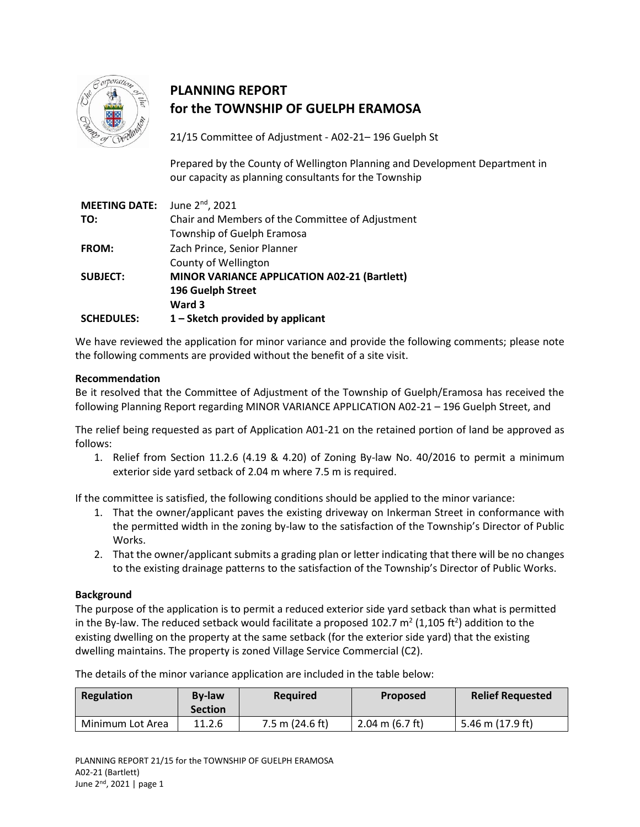

# **PLANNING REPORT for the TOWNSHIP OF GUELPH ERAMOSA**

21/15 Committee of Adjustment - A02-21– 196 Guelph St

Prepared by the County of Wellington Planning and Development Department in our capacity as planning consultants for the Township

| June 2 <sup>nd</sup> , 2021<br><b>MEETING DATE:</b> |
|-----------------------------------------------------|
| Chair and Members of the Committee of Adjustment    |
| Township of Guelph Eramosa                          |
| Zach Prince, Senior Planner                         |
| County of Wellington                                |
| MINOR VARIANCE APPLICATION A02-21 (Bartlett)        |
| 196 Guelph Street                                   |
| Ward 3                                              |
| $1$ – Sketch provided by applicant                  |
|                                                     |

We have reviewed the application for minor variance and provide the following comments; please note the following comments are provided without the benefit of a site visit.

#### **Recommendation**

Be it resolved that the Committee of Adjustment of the Township of Guelph/Eramosa has received the following Planning Report regarding MINOR VARIANCE APPLICATION A02-21 – 196 Guelph Street, and

The relief being requested as part of Application A01-21 on the retained portion of land be approved as follows:

1. Relief from Section 11.2.6 (4.19 & 4.20) of Zoning By-law No. 40/2016 to permit a minimum exterior side yard setback of 2.04 m where 7.5 m is required.

If the committee is satisfied, the following conditions should be applied to the minor variance:

- 1. That the owner/applicant paves the existing driveway on Inkerman Street in conformance with the permitted width in the zoning by-law to the satisfaction of the Township's Director of Public Works.
- 2. That the owner/applicant submits a grading plan or letter indicating that there will be no changes to the existing drainage patterns to the satisfaction of the Township's Director of Public Works.

#### **Background**

The purpose of the application is to permit a reduced exterior side yard setback than what is permitted in the By-law. The reduced setback would facilitate a proposed 102.7  $m^2$  (1,105 ft<sup>2</sup>) addition to the existing dwelling on the property at the same setback (for the exterior side yard) that the existing dwelling maintains. The property is zoned Village Service Commercial (C2).

The details of the minor variance application are included in the table below:

| Regulation       | <b>By-law</b><br><b>Section</b> | <b>Required</b>   | <b>Proposed</b>           | <b>Relief Requested</b> |
|------------------|---------------------------------|-------------------|---------------------------|-------------------------|
| Minimum Lot Area | 11.2.6                          | $7.5$ m (24.6 ft) | 2.04 m $(6.7 \text{ ft})$ | 5.46 m (17.9 ft)        |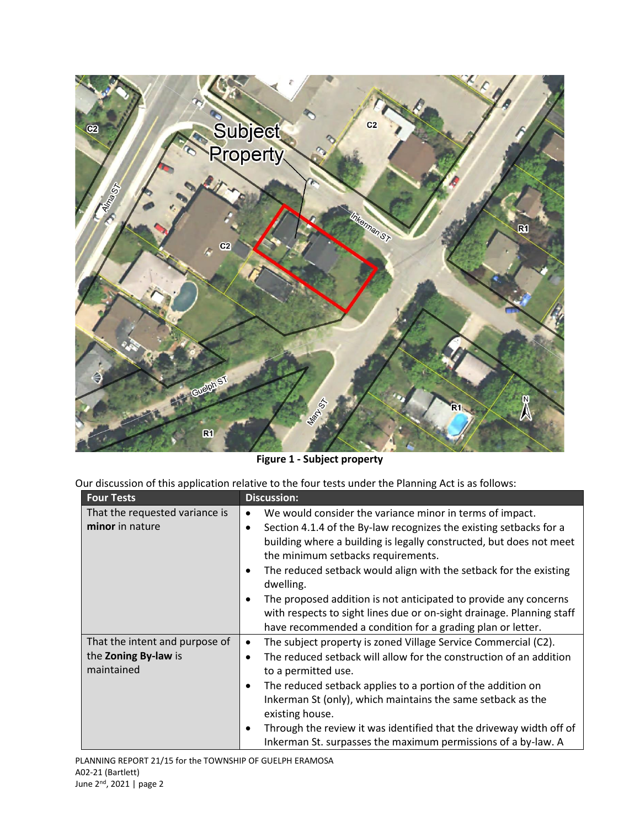

**Figure 1 - Subject property**

Our discussion of this application relative to the four tests under the Planning Act is as follows:

| <b>Four Tests</b>                                                    | <b>Discussion:</b>                                                                                                                                                                                                                                                                                                                                                                                                                                                                                                                                         |
|----------------------------------------------------------------------|------------------------------------------------------------------------------------------------------------------------------------------------------------------------------------------------------------------------------------------------------------------------------------------------------------------------------------------------------------------------------------------------------------------------------------------------------------------------------------------------------------------------------------------------------------|
| That the requested variance is<br>minor in nature                    | We would consider the variance minor in terms of impact.<br>$\bullet$<br>Section 4.1.4 of the By-law recognizes the existing setbacks for a<br>building where a building is legally constructed, but does not meet<br>the minimum setbacks requirements.<br>The reduced setback would align with the setback for the existing<br>٠<br>dwelling.<br>The proposed addition is not anticipated to provide any concerns<br>with respects to sight lines due or on-sight drainage. Planning staff<br>have recommended a condition for a grading plan or letter. |
| That the intent and purpose of<br>the Zoning By-law is<br>maintained | The subject property is zoned Village Service Commercial (C2).<br>٠<br>The reduced setback will allow for the construction of an addition<br>to a permitted use.<br>The reduced setback applies to a portion of the addition on<br>$\bullet$<br>Inkerman St (only), which maintains the same setback as the<br>existing house.<br>Through the review it was identified that the driveway width off of<br>٠<br>Inkerman St. surpasses the maximum permissions of a by-law. A                                                                                |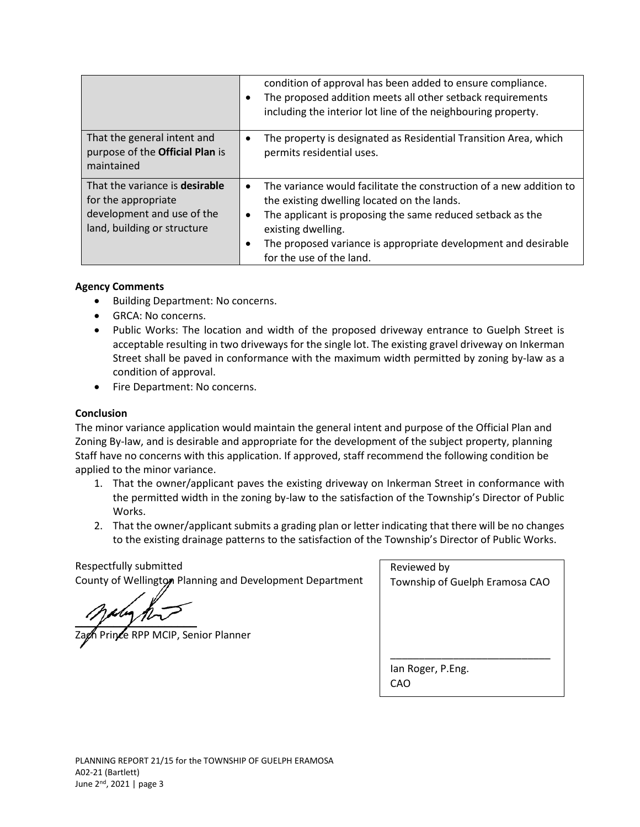|                                                                                                                           | condition of approval has been added to ensure compliance.<br>The proposed addition meets all other setback requirements<br>including the interior lot line of the neighbouring property.                                                                                                                         |
|---------------------------------------------------------------------------------------------------------------------------|-------------------------------------------------------------------------------------------------------------------------------------------------------------------------------------------------------------------------------------------------------------------------------------------------------------------|
| That the general intent and<br>purpose of the Official Plan is<br>maintained                                              | The property is designated as Residential Transition Area, which<br>permits residential uses.                                                                                                                                                                                                                     |
| That the variance is <b>desirable</b><br>for the appropriate<br>development and use of the<br>land, building or structure | The variance would facilitate the construction of a new addition to<br>$\bullet$<br>the existing dwelling located on the lands.<br>The applicant is proposing the same reduced setback as the<br>existing dwelling.<br>The proposed variance is appropriate development and desirable<br>for the use of the land. |

### **Agency Comments**

- Building Department: No concerns.
- GRCA: No concerns.
- Public Works: The location and width of the proposed driveway entrance to Guelph Street is acceptable resulting in two driveways for the single lot. The existing gravel driveway on Inkerman Street shall be paved in conformance with the maximum width permitted by zoning by-law as a condition of approval.
- Fire Department: No concerns.

## **Conclusion**

The minor variance application would maintain the general intent and purpose of the Official Plan and Zoning By-law, and is desirable and appropriate for the development of the subject property, planning Staff have no concerns with this application. If approved, staff recommend the following condition be applied to the minor variance.

- 1. That the owner/applicant paves the existing driveway on Inkerman Street in conformance with the permitted width in the zoning by-law to the satisfaction of the Township's Director of Public Works.
- 2. That the owner/applicant submits a grading plan or letter indicating that there will be no changes to the existing drainage patterns to the satisfaction of the Township's Director of Public Works.

Respectfully submitted County of Wellington Planning and Development Department

 $y \sim y \sim y$ 

Prince RPP MCIP, Senior Planner

| Reviewed by                    |
|--------------------------------|
| Township of Guelph Eramosa CAO |
|                                |
|                                |
|                                |
|                                |
|                                |
| lan Roger, P.Eng.              |
| CAO                            |
|                                |